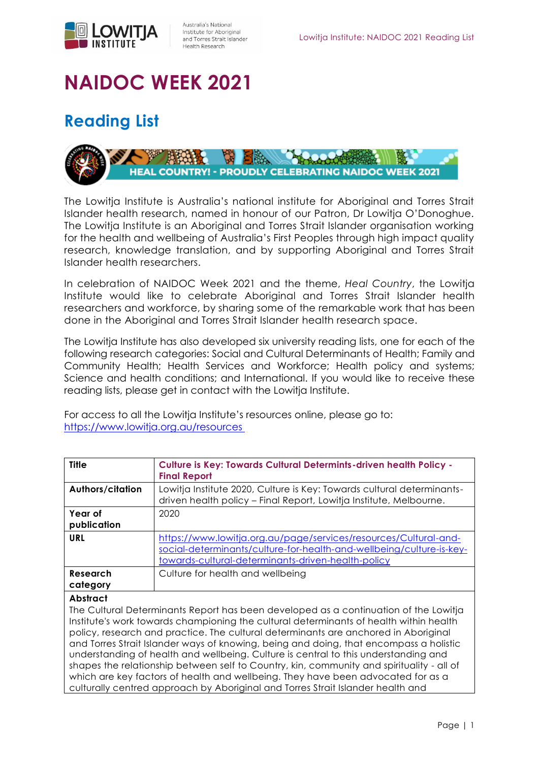

## **NAIDOC WEEK 2021**

## **Reading List**



The Lowitja Institute is Australia's national institute for Aboriginal and Torres Strait Islander health research, named in honour of our Patron, Dr Lowitja O'Donoghue. The Lowitja Institute is an Aboriginal and Torres Strait Islander organisation working for the health and wellbeing of Australia's First Peoples through high impact quality research, knowledge translation, and by supporting Aboriginal and Torres Strait Islander health researchers.

In celebration of NAIDOC Week 2021 and the theme, *Heal Country*, the Lowitja Institute would like to celebrate Aboriginal and Torres Strait Islander health researchers and workforce, by sharing some of the remarkable work that has been done in the Aboriginal and Torres Strait Islander health research space.

The Lowitja Institute has also developed six university reading lists, one for each of the following research categories: Social and Cultural Determinants of Health; Family and Community Health; Health Services and Workforce; Health policy and systems; Science and health conditions; and International. If you would like to receive these reading lists, please get in contact with the Lowitja Institute.

For access to all the Lowitja Institute's resources online, please go to: <https://www.lowitja.org.au/resources>

| <b>Title</b>           | <b>Culture is Key: Towards Cultural Determints-driven health Policy -</b><br><b>Final Report</b>                                                                                               |
|------------------------|------------------------------------------------------------------------------------------------------------------------------------------------------------------------------------------------|
| Authors/citation       | Lowitja Institute 2020, Culture is Key: Towards cultural determinants-<br>driven health policy - Final Report, Lowitja Institute, Melbourne.                                                   |
| Year of<br>publication | 2020                                                                                                                                                                                           |
| URL                    | https://www.lowitja.org.au/page/services/resources/Cultural-and-<br>social-determinants/culture-for-health-and-wellbeing/culture-is-key-<br>towards-cultural-determinants-driven-health-policy |
| Research<br>category   | Culture for health and wellbeing                                                                                                                                                               |
| <b>Abstract</b>        |                                                                                                                                                                                                |

The Cultural Determinants Report has been developed as a continuation of the Lowitja Institute's work towards championing the cultural determinants of health within health policy, research and practice. The cultural determinants are anchored in Aboriginal and Torres Strait Islander ways of knowing, being and doing, that encompass a holistic understanding of health and wellbeing. Culture is central to this understanding and shapes the relationship between self to Country, kin, community and spirituality - all of which are key factors of health and wellbeing. They have been advocated for as a culturally centred approach by Aboriginal and Torres Strait Islander health and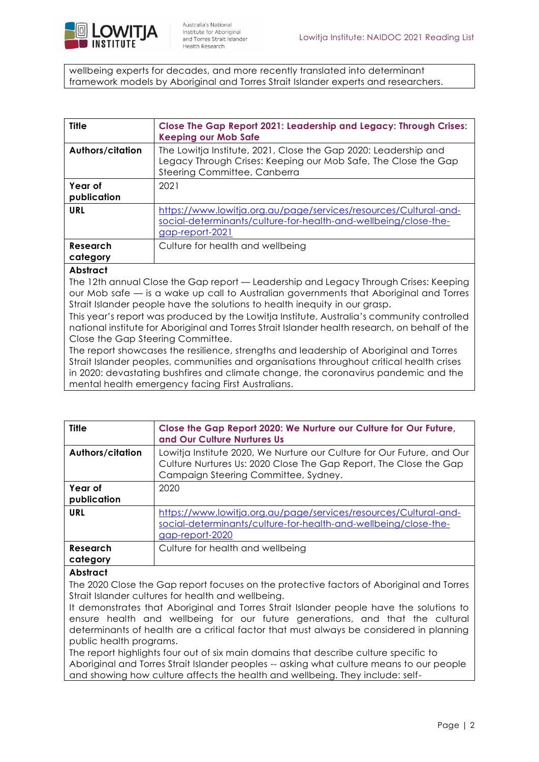

wellbeing experts for decades, and more recently translated into determinant framework models by Aboriginal and Torres Strait Islander experts and researchers.

| Title                  | Close The Gap Report 2021: Leadership and Legacy: Through Crises:<br><b>Keeping our Mob Safe</b>                                                                  |
|------------------------|-------------------------------------------------------------------------------------------------------------------------------------------------------------------|
| Authors/citation       | The Lowitja Institute, 2021, Close the Gap 2020: Leadership and<br>Legacy Through Crises: Keeping our Mob Safe, The Close the Gap<br>Steering Committee, Canberra |
| Year of<br>publication | 2021                                                                                                                                                              |
| URL                    | https://www.lowitja.org.au/page/services/resources/Cultural-and-<br>social-determinants/culture-for-health-and-wellbeing/close-the-<br>gap-report-2021            |
| Research<br>category   | Culture for health and wellbeing                                                                                                                                  |
| <b>Abstract</b>        |                                                                                                                                                                   |

The 12th annual Close the Gap report — Leadership and Legacy Through Crises: Keeping our Mob safe — is a wake up call to Australian governments that Aboriginal and Torres Strait Islander people have the solutions to health inequity in our grasp.

This year's report was produced by the Lowitja Institute, Australia's community controlled national institute for Aboriginal and Torres Strait Islander health research, on behalf of the Close the Gap Steering Committee.

The report showcases the resilience, strengths and leadership of Aboriginal and Torres Strait Islander peoples, communities and organisations throughout critical health crises in 2020: devastating bushfires and climate change, the coronavirus pandemic and the mental health emergency facing First Australians.

| <b>Title</b>         | Close the Gap Report 2020: We Nurture our Culture for Our Future,<br>and Our Culture Nurtures Us                                                                                    |
|----------------------|-------------------------------------------------------------------------------------------------------------------------------------------------------------------------------------|
| Authors/citation     | Lowitja Institute 2020, We Nurture our Culture for Our Future, and Our<br>Culture Nurtures Us: 2020 Close The Gap Report, The Close the Gap<br>Campaign Steering Committee, Sydney. |
| Year of              | 2020                                                                                                                                                                                |
| publication          |                                                                                                                                                                                     |
| <b>URL</b>           | https://www.lowitja.org.au/page/services/resources/Cultural-and-<br>social-determinants/culture-for-health-and-wellbeing/close-the-<br>gap-report-2020                              |
| Research<br>category | Culture for health and wellbeing                                                                                                                                                    |
| <b>Abstract</b>      | The 2020 Close the Gap report focuses on the protective factors of Aboriginal and Torres                                                                                            |

Strait Islander cultures for health and wellbeing.

It demonstrates that Aboriginal and Torres Strait Islander people have the solutions to ensure health and wellbeing for our future generations, and that the cultural determinants of health are a critical factor that must always be considered in planning public health programs.

The report highlights four out of six main domains that describe culture specific to Aboriginal and Torres Strait Islander peoples -- asking what culture means to our people and showing how culture affects the health and wellbeing. They include: self-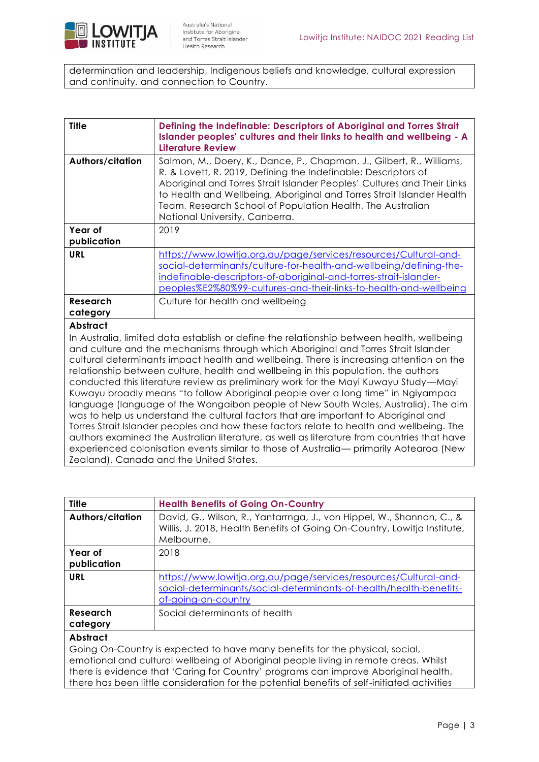

determination and leadership, Indigenous beliefs and knowledge, cultural expression and continuity, and connection to Country.

| <b>Title</b>           | Defining the Indefinable: Descriptors of Aboriginal and Torres Strait<br>Islander peoples' cultures and their links to health and wellbeing - A<br><b>Literature Review</b>                                                                                                                                                                                                                                                                                                                                                                                                                                                                                                                                                                                                                                                                                                                                                                                                                                  |
|------------------------|--------------------------------------------------------------------------------------------------------------------------------------------------------------------------------------------------------------------------------------------------------------------------------------------------------------------------------------------------------------------------------------------------------------------------------------------------------------------------------------------------------------------------------------------------------------------------------------------------------------------------------------------------------------------------------------------------------------------------------------------------------------------------------------------------------------------------------------------------------------------------------------------------------------------------------------------------------------------------------------------------------------|
| Authors/citation       | Salmon, M., Doery, K., Dance, P., Chapman, J., Gilbert, R., Williams,<br>R. & Lovett, R. 2019, Defining the Indefinable: Descriptors of<br>Aboriginal and Torres Strait Islander Peoples' Cultures and Their Links<br>to Health and Wellbeing, Aboriginal and Torres Strait Islander Health<br>Team, Research School of Population Health, The Australian<br>National University, Canberra.                                                                                                                                                                                                                                                                                                                                                                                                                                                                                                                                                                                                                  |
| Year of<br>publication | 2019                                                                                                                                                                                                                                                                                                                                                                                                                                                                                                                                                                                                                                                                                                                                                                                                                                                                                                                                                                                                         |
| <b>URL</b>             | https://www.lowitja.org.au/page/services/resources/Cultural-and-<br>social-determinants/culture-for-health-and-wellbeing/defining-the-<br>indefinable-descriptors-of-aboriginal-and-torres-strait-islander-<br>peoples%E2%80%99-cultures-and-their-links-to-health-and-wellbeing                                                                                                                                                                                                                                                                                                                                                                                                                                                                                                                                                                                                                                                                                                                             |
| Research<br>category   | Culture for health and wellbeing                                                                                                                                                                                                                                                                                                                                                                                                                                                                                                                                                                                                                                                                                                                                                                                                                                                                                                                                                                             |
| <b>Abstract</b>        | In Australia, limited data establish or define the relationship between health, wellbeing<br>and culture and the mechanisms through which Aboriginal and Torres Strait Islander<br>cultural determinants impact health and wellbeing. There is increasing attention on the<br>relationship between culture, health and wellbeing in this population. the authors<br>conducted this literature review as preliminary work for the Mayi Kuwayu Study—Mayi<br>Kuwayu broadly means "to follow Aboriginal people over a long time" in Ngiyampaa<br>language (language of the Wongaibon people of New South Wales, Australia). The aim<br>was to help us understand the cultural factors that are important to Aboriginal and<br>Torres Strait Islander peoples and how these factors relate to health and wellbeing. The<br>authors examined the Australian literature, as well as literature from countries that have<br>experienced colonisation events similar to those of Australia— primarily Aotearoa (New |

| experienced coloriisunon evenis similar to |  |  |  |
|--------------------------------------------|--|--|--|
| Zealand), Canada and the United States.    |  |  |  |

| <b>Title</b>                                                                                                                                                                                                                                                                                                                                                                  | <b>Health Benefits of Going On-Country</b>                                                                                                                      |
|-------------------------------------------------------------------------------------------------------------------------------------------------------------------------------------------------------------------------------------------------------------------------------------------------------------------------------------------------------------------------------|-----------------------------------------------------------------------------------------------------------------------------------------------------------------|
| <b>Authors/citation</b>                                                                                                                                                                                                                                                                                                                                                       | David, G., Wilson, R., Yantarrnga, J., von Hippel, W., Shannon, C., &<br>Willis, J. 2018, Health Benefits of Going On-Country, Lowitja Institute,<br>Melbourne. |
| Year of<br>publication                                                                                                                                                                                                                                                                                                                                                        | 2018                                                                                                                                                            |
| URL                                                                                                                                                                                                                                                                                                                                                                           | https://www.lowitja.org.au/page/services/resources/Cultural-and-<br>social-determinants/social-determinants-of-health/health-benefits-<br>of-going-on-country   |
| <b>Research</b><br>category                                                                                                                                                                                                                                                                                                                                                   | Social determinants of health                                                                                                                                   |
| <b>Abstract</b><br>Going On-Country is expected to have many benefits for the physical, social,<br>emotional and cultural wellbeing of Aboriginal people living in remote areas. Whilst<br>there is evidence that 'Caring for Country' programs can improve Aboriginal health,<br>there has been little consideration for the potential benefits of self-initiated activities |                                                                                                                                                                 |